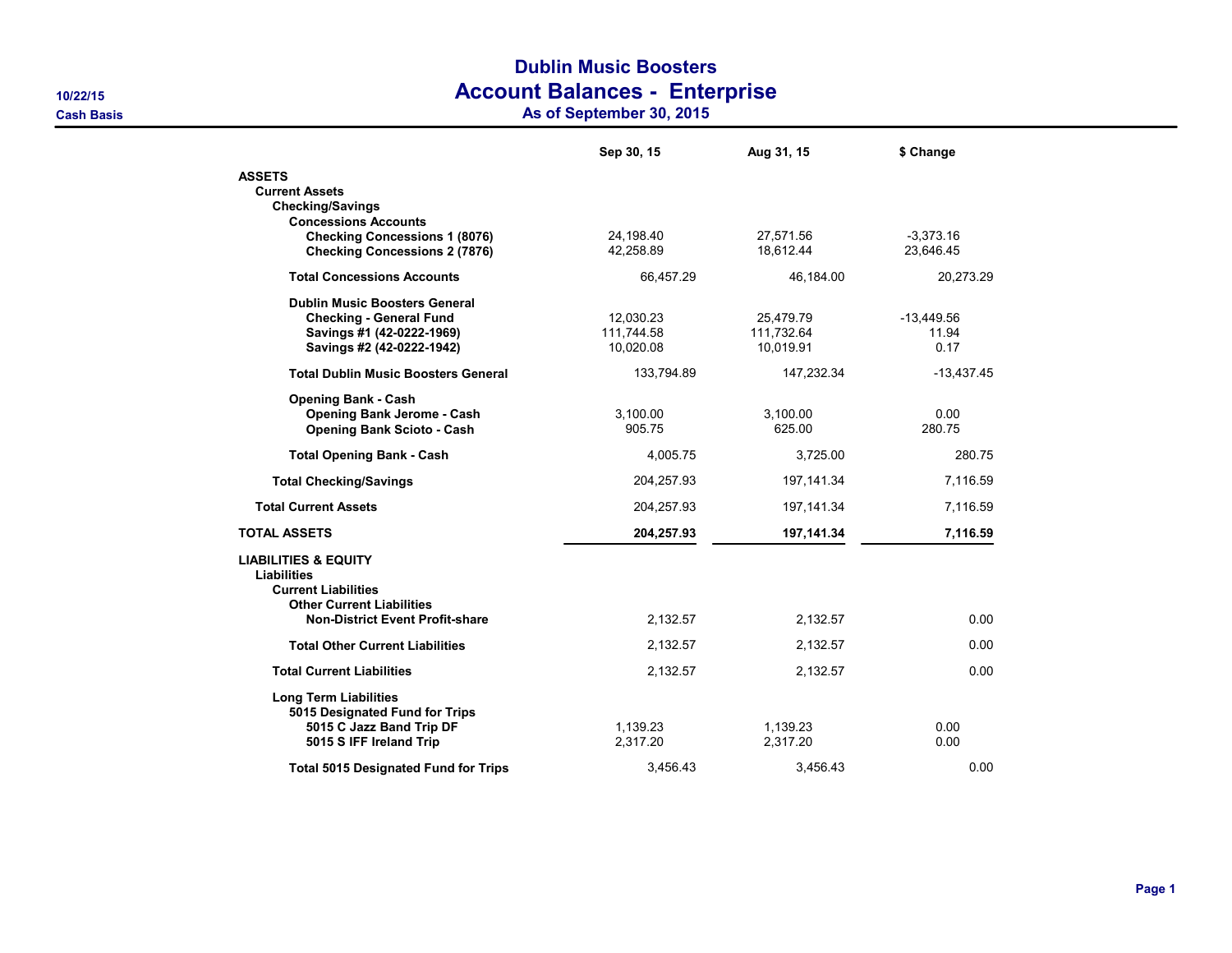## Dublin Music Boosters 10/22/15 Account Balances - Enterprise

Cash Basis As of September 30, 2015

|                                                                                                                                                            | Sep 30, 15                           | Aug 31, 15                           | \$ Change                     |
|------------------------------------------------------------------------------------------------------------------------------------------------------------|--------------------------------------|--------------------------------------|-------------------------------|
| <b>ASSETS</b><br><b>Current Assets</b><br><b>Checking/Savings</b><br><b>Concessions Accounts</b>                                                           |                                      |                                      |                               |
| <b>Checking Concessions 1 (8076)</b><br><b>Checking Concessions 2 (7876)</b>                                                                               | 24,198.40<br>42,258.89               | 27,571.56<br>18,612.44               | $-3,373.16$<br>23,646.45      |
| <b>Total Concessions Accounts</b>                                                                                                                          | 66,457.29                            | 46,184.00                            | 20,273.29                     |
| <b>Dublin Music Boosters General</b><br><b>Checking - General Fund</b><br>Savings #1 (42-0222-1969)<br>Savings #2 (42-0222-1942)                           | 12,030.23<br>111,744.58<br>10,020.08 | 25,479.79<br>111,732.64<br>10,019.91 | $-13,449.56$<br>11.94<br>0.17 |
| <b>Total Dublin Music Boosters General</b>                                                                                                                 | 133,794.89                           | 147,232.34                           | $-13,437.45$                  |
| <b>Opening Bank - Cash</b><br><b>Opening Bank Jerome - Cash</b><br><b>Opening Bank Scioto - Cash</b>                                                       | 3,100.00<br>905.75                   | 3,100.00<br>625.00                   | 0.00<br>280.75                |
| <b>Total Opening Bank - Cash</b>                                                                                                                           | 4.005.75                             | 3,725.00                             | 280.75                        |
| <b>Total Checking/Savings</b>                                                                                                                              | 204,257.93                           | 197, 141.34                          | 7,116.59                      |
| <b>Total Current Assets</b>                                                                                                                                | 204,257.93                           | 197, 141.34                          | 7,116.59                      |
| <b>TOTAL ASSETS</b>                                                                                                                                        | 204,257.93                           | 197,141.34                           | 7,116.59                      |
| <b>LIABILITIES &amp; EQUITY</b><br>Liabilities<br><b>Current Liabilities</b><br><b>Other Current Liabilities</b><br><b>Non-District Event Profit-share</b> | 2,132.57                             | 2,132.57                             | 0.00                          |
| <b>Total Other Current Liabilities</b>                                                                                                                     | 2,132.57                             | 2,132.57                             | 0.00                          |
| <b>Total Current Liabilities</b>                                                                                                                           | 2,132.57                             | 2,132.57                             | 0.00                          |
| <b>Long Term Liabilities</b><br>5015 Designated Fund for Trips<br>5015 C Jazz Band Trip DF<br>5015 S IFF Ireland Trip                                      | 1,139.23<br>2,317.20                 | 1,139.23<br>2,317.20                 | 0.00<br>0.00                  |
| <b>Total 5015 Designated Fund for Trips</b>                                                                                                                | 3.456.43                             | 3,456.43                             | 0.00                          |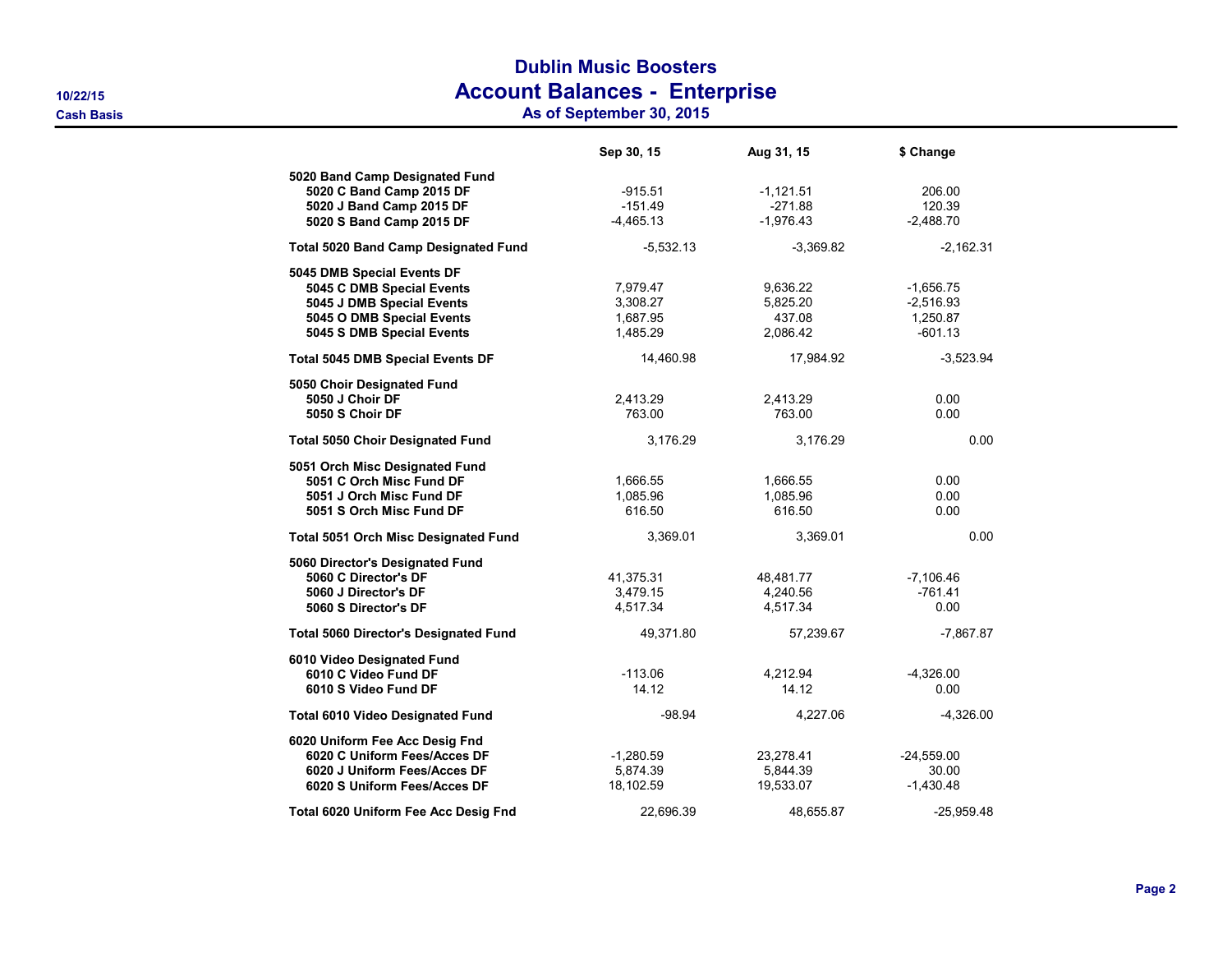## Dublin Music Boosters 10/22/15 Account Balances - Enterprise

Cash Basis As of September 30, 2015

|                                                                                                                                                | Sep 30, 15                                   | Aug 31, 15                                 | \$ Change                                           |
|------------------------------------------------------------------------------------------------------------------------------------------------|----------------------------------------------|--------------------------------------------|-----------------------------------------------------|
| 5020 Band Camp Designated Fund<br>5020 C Band Camp 2015 DF<br>5020 J Band Camp 2015 DF<br>5020 S Band Camp 2015 DF                             | $-915.51$<br>$-151.49$<br>$-4,465.13$        | $-1,121.51$<br>$-271.88$<br>$-1,976.43$    | 206.00<br>120.39<br>$-2,488.70$                     |
| <b>Total 5020 Band Camp Designated Fund</b>                                                                                                    | $-5,532.13$                                  | $-3,369.82$                                | $-2,162.31$                                         |
| 5045 DMB Special Events DF<br>5045 C DMB Special Events<br>5045 J DMB Special Events<br>5045 O DMB Special Events<br>5045 S DMB Special Events | 7,979.47<br>3,308.27<br>1,687.95<br>1,485.29 | 9,636.22<br>5,825.20<br>437.08<br>2,086.42 | $-1,656.75$<br>$-2,516.93$<br>1,250.87<br>$-601.13$ |
| <b>Total 5045 DMB Special Events DF</b>                                                                                                        | 14,460.98                                    | 17,984.92                                  | $-3,523.94$                                         |
| 5050 Choir Designated Fund<br>5050 J Choir DF<br>5050 S Choir DF                                                                               | 2,413.29<br>763.00                           | 2,413.29<br>763.00                         | 0.00<br>0.00                                        |
| Total 5050 Choir Designated Fund                                                                                                               | 3,176.29                                     | 3,176.29                                   | 0.00                                                |
| 5051 Orch Misc Designated Fund<br>5051 C Orch Misc Fund DF<br>5051 J Orch Misc Fund DF<br>5051 S Orch Misc Fund DF                             | 1,666.55<br>1,085.96<br>616.50               | 1,666.55<br>1,085.96<br>616.50             | 0.00<br>0.00<br>0.00                                |
| <b>Total 5051 Orch Misc Designated Fund</b>                                                                                                    | 3,369.01                                     | 3,369.01                                   | 0.00                                                |
| 5060 Director's Designated Fund<br>5060 C Director's DF<br>5060 J Director's DF<br>5060 S Director's DF                                        | 41,375.31<br>3,479.15<br>4,517.34            | 48,481.77<br>4,240.56<br>4,517.34          | $-7,106.46$<br>$-761.41$<br>0.00                    |
| <b>Total 5060 Director's Designated Fund</b>                                                                                                   | 49,371.80                                    | 57,239.67                                  | $-7,867.87$                                         |
| 6010 Video Designated Fund<br>6010 C Video Fund DF<br>6010 S Video Fund DF                                                                     | $-113.06$<br>14.12                           | 4.212.94<br>14.12                          | $-4.326.00$<br>0.00                                 |
| <b>Total 6010 Video Designated Fund</b>                                                                                                        | $-98.94$                                     | 4,227.06                                   | $-4,326.00$                                         |
| 6020 Uniform Fee Acc Desig Fnd<br>6020 C Uniform Fees/Acces DF<br>6020 J Uniform Fees/Acces DF<br>6020 S Uniform Fees/Acces DF                 | $-1,280.59$<br>5,874.39<br>18,102.59         | 23,278.41<br>5,844.39<br>19,533.07         | $-24,559.00$<br>30.00<br>$-1,430.48$                |
| Total 6020 Uniform Fee Acc Desig Fnd                                                                                                           | 22,696.39                                    | 48,655.87                                  | $-25,959.48$                                        |